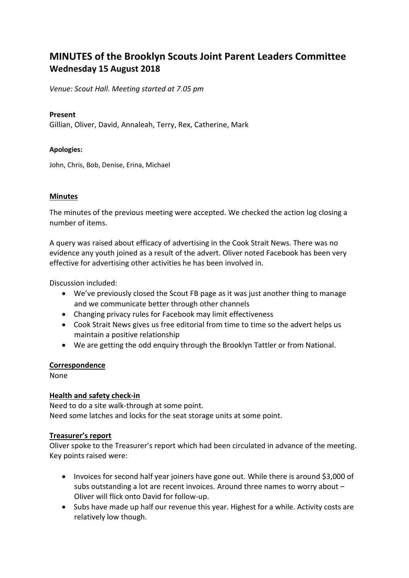# **MINUTES of the Brooklyn Scouts Joint Parent Leaders Committee Wednesday 15 August 2018**

*Venue: Scout Hall. Meeting started at 7.05 pm*

### **Present**

Gillian, Oliver, David, Annaleah, Terry, Rex, Catherine, Mark

### **Apologies:**

John, Chris, Bob, Denise, Erina, Michael

### **Minutes**

The minutes of the previous meeting were accepted. We checked the action log closing a number of items.

A query was raised about efficacy of advertising in the Cook Strait News. There was no evidence any youth joined as a result of the advert. Oliver noted Facebook has been very effective for advertising other activities he has been involved in.

Discussion included:

- We've previously closed the Scout FB page as it was just another thing to manage and we communicate better through other channels
- Changing privacy rules for Facebook may limit effectiveness
- Cook Strait News gives us free editorial from time to time so the advert helps us maintain a positive relationship
- We are getting the odd enquiry through the Brooklyn Tattler or from National.

### **Correspondence**

None

### **Health and safety check-in**

Need to do a site walk-through at some point. Need some latches and locks for the seat storage units at some point.

### **Treasurer's report**

Oliver spoke to the Treasurer's report which had been circulated in advance of the meeting. Key points raised were:

- Invoices for second half year joiners have gone out. While there is around \$3,000 of subs outstanding a lot are recent invoices. Around three names to worry about – Oliver will flick onto David for follow-up.
- Subs have made up half our revenue this year. Highest for a while. Activity costs are relatively low though.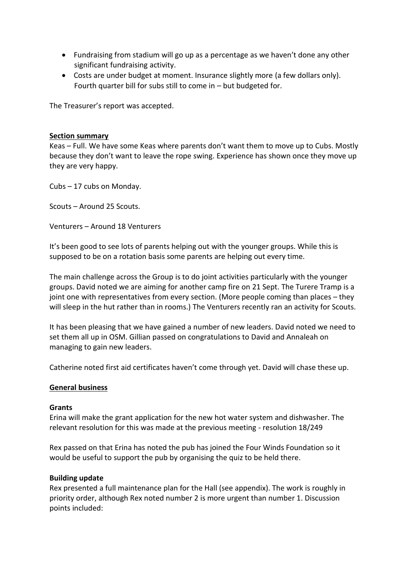- Fundraising from stadium will go up as a percentage as we haven't done any other significant fundraising activity.
- Costs are under budget at moment. Insurance slightly more (a few dollars only). Fourth quarter bill for subs still to come in – but budgeted for.

The Treasurer's report was accepted.

### **Section summary**

Keas – Full. We have some Keas where parents don't want them to move up to Cubs. Mostly because they don't want to leave the rope swing. Experience has shown once they move up they are very happy.

Cubs – 17 cubs on Monday.

Scouts – Around 25 Scouts.

Venturers – Around 18 Venturers

It's been good to see lots of parents helping out with the younger groups. While this is supposed to be on a rotation basis some parents are helping out every time.

The main challenge across the Group is to do joint activities particularly with the younger groups. David noted we are aiming for another camp fire on 21 Sept. The Turere Tramp is a joint one with representatives from every section. (More people coming than places – they will sleep in the hut rather than in rooms.) The Venturers recently ran an activity for Scouts.

It has been pleasing that we have gained a number of new leaders. David noted we need to set them all up in OSM. Gillian passed on congratulations to David and Annaleah on managing to gain new leaders.

Catherine noted first aid certificates haven't come through yet. David will chase these up.

### **General business**

### **Grants**

Erina will make the grant application for the new hot water system and dishwasher. The relevant resolution for this was made at the previous meeting - resolution 18/249

Rex passed on that Erina has noted the pub has joined the Four Winds Foundation so it would be useful to support the pub by organising the quiz to be held there.

### **Building update**

Rex presented a full maintenance plan for the Hall (see appendix). The work is roughly in priority order, although Rex noted number 2 is more urgent than number 1. Discussion points included: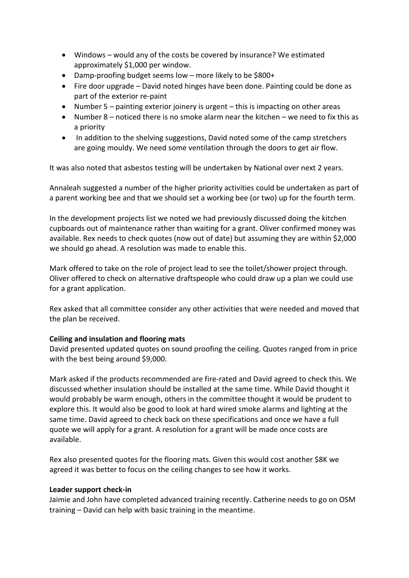- Windows would any of the costs be covered by insurance? We estimated approximately \$1,000 per window.
- Damp-proofing budget seems low more likely to be \$800+
- Fire door upgrade David noted hinges have been done. Painting could be done as part of the exterior re-paint
- Number 5 painting exterior joinery is urgent this is impacting on other areas
- Number 8 noticed there is no smoke alarm near the kitchen we need to fix this as a priority
- In addition to the shelving suggestions, David noted some of the camp stretchers are going mouldy. We need some ventilation through the doors to get air flow.

It was also noted that asbestos testing will be undertaken by National over next 2 years.

Annaleah suggested a number of the higher priority activities could be undertaken as part of a parent working bee and that we should set a working bee (or two) up for the fourth term.

In the development projects list we noted we had previously discussed doing the kitchen cupboards out of maintenance rather than waiting for a grant. Oliver confirmed money was available. Rex needs to check quotes (now out of date) but assuming they are within \$2,000 we should go ahead. A resolution was made to enable this.

Mark offered to take on the role of project lead to see the toilet/shower project through. Oliver offered to check on alternative draftspeople who could draw up a plan we could use for a grant application.

Rex asked that all committee consider any other activities that were needed and moved that the plan be received.

# **Ceiling and insulation and flooring mats**

David presented updated quotes on sound proofing the ceiling. Quotes ranged from in price with the best being around \$9,000.

Mark asked if the products recommended are fire-rated and David agreed to check this. We discussed whether insulation should be installed at the same time. While David thought it would probably be warm enough, others in the committee thought it would be prudent to explore this. It would also be good to look at hard wired smoke alarms and lighting at the same time. David agreed to check back on these specifications and once we have a full quote we will apply for a grant. A resolution for a grant will be made once costs are available.

Rex also presented quotes for the flooring mats. Given this would cost another \$8K we agreed it was better to focus on the ceiling changes to see how it works.

### **Leader support check-in**

Jaimie and John have completed advanced training recently. Catherine needs to go on OSM training – David can help with basic training in the meantime.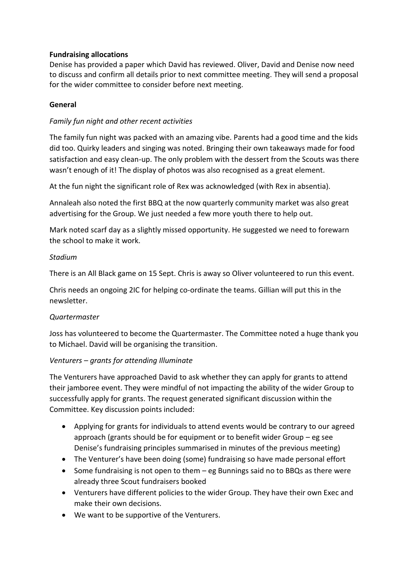# **Fundraising allocations**

Denise has provided a paper which David has reviewed. Oliver, David and Denise now need to discuss and confirm all details prior to next committee meeting. They will send a proposal for the wider committee to consider before next meeting.

### **General**

# *Family fun night and other recent activities*

The family fun night was packed with an amazing vibe. Parents had a good time and the kids did too. Quirky leaders and singing was noted. Bringing their own takeaways made for food satisfaction and easy clean-up. The only problem with the dessert from the Scouts was there wasn't enough of it! The display of photos was also recognised as a great element.

At the fun night the significant role of Rex was acknowledged (with Rex in absentia).

Annaleah also noted the first BBQ at the now quarterly community market was also great advertising for the Group. We just needed a few more youth there to help out.

Mark noted scarf day as a slightly missed opportunity. He suggested we need to forewarn the school to make it work.

# *Stadium*

There is an All Black game on 15 Sept. Chris is away so Oliver volunteered to run this event.

Chris needs an ongoing 2IC for helping co-ordinate the teams. Gillian will put this in the newsletter.

# *Quartermaster*

Joss has volunteered to become the Quartermaster. The Committee noted a huge thank you to Michael. David will be organising the transition.

# *Venturers – grants for attending Illuminate*

The Venturers have approached David to ask whether they can apply for grants to attend their jamboree event. They were mindful of not impacting the ability of the wider Group to successfully apply for grants. The request generated significant discussion within the Committee. Key discussion points included:

- Applying for grants for individuals to attend events would be contrary to our agreed approach (grants should be for equipment or to benefit wider Group – eg see Denise's fundraising principles summarised in minutes of the previous meeting)
- The Venturer's have been doing (some) fundraising so have made personal effort
- Some fundraising is not open to them eg Bunnings said no to BBQs as there were already three Scout fundraisers booked
- Venturers have different policies to the wider Group. They have their own Exec and make their own decisions.
- We want to be supportive of the Venturers.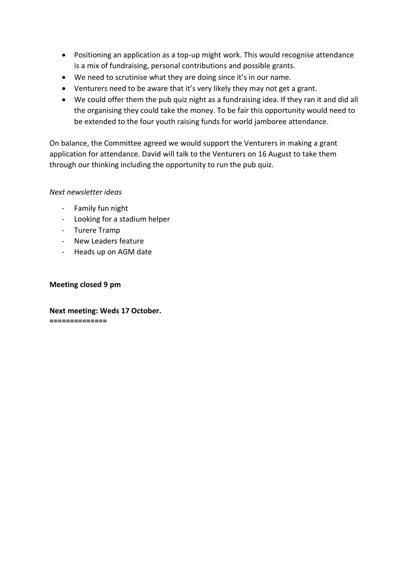- Positioning an application as a top-up might work. This would recognise attendance is a mix of fundraising, personal contributions and possible grants.
- We need to scrutinise what they are doing since it's in our name.
- Venturers need to be aware that it's very likely they may not get a grant.
- We could offer them the pub quiz night as a fundraising idea. If they ran it and did all the organising they could take the money. To be fair this opportunity would need to be extended to the four youth raising funds for world jamboree attendance.

On balance, the Committee agreed we would support the Venturers in making a grant application for attendance. David will talk to the Venturers on 16 August to take them through our thinking including the opportunity to run the pub quiz.

# *Next newsletter ideas*

- Family fun night
- Looking for a stadium helper
- Turere Tramp
- New Leaders feature
- Heads up on AGM date

# **Meeting closed 9 pm**

**Next meeting: Weds 17 October. ==============**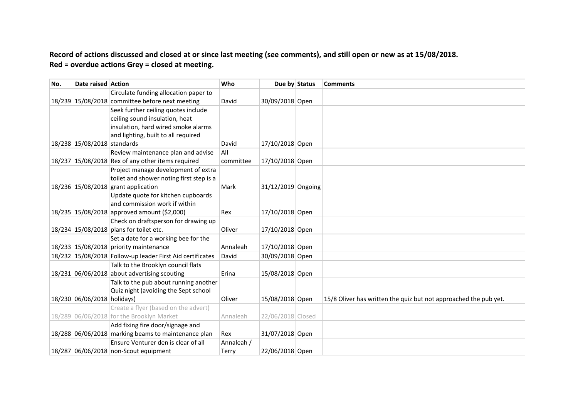**Record of actions discussed and closed at or since last meeting (see comments), and still open or new as at 15/08/2018. Red = overdue actions Grey = closed at meeting.**

| No. | Date raised Action          |                                                           | Who        | Due by Status      | <b>Comments</b>                                                  |
|-----|-----------------------------|-----------------------------------------------------------|------------|--------------------|------------------------------------------------------------------|
|     |                             | Circulate funding allocation paper to                     |            |                    |                                                                  |
|     |                             | 18/239 15/08/2018 committee before next meeting           | David      | 30/09/2018 Open    |                                                                  |
|     |                             | Seek further ceiling quotes include                       |            |                    |                                                                  |
|     |                             | ceiling sound insulation, heat                            |            |                    |                                                                  |
|     |                             | insulation, hard wired smoke alarms                       |            |                    |                                                                  |
|     |                             | and lighting, built to all required                       |            |                    |                                                                  |
|     | 18/238 15/08/2018 standards |                                                           | David      | 17/10/2018 Open    |                                                                  |
|     |                             | Review maintenance plan and advise                        | All        |                    |                                                                  |
|     |                             | $18/237$ 15/08/2018 Rex of any other items required       | committee  | 17/10/2018 Open    |                                                                  |
|     |                             | Project manage development of extra                       |            |                    |                                                                  |
|     |                             | toilet and shower noting first step is a                  |            |                    |                                                                  |
|     |                             | 18/236 15/08/2018 grant application                       | Mark       | 31/12/2019 Ongoing |                                                                  |
|     |                             | Update quote for kitchen cupboards                        |            |                    |                                                                  |
|     |                             | and commission work if within                             |            |                    |                                                                  |
|     |                             | 18/235 15/08/2018 approved amount (\$2,000)               | Rex        | 17/10/2018 Open    |                                                                  |
|     |                             | Check on draftsperson for drawing up                      |            |                    |                                                                  |
|     |                             | 18/234 15/08/2018 plans for toilet etc.                   | Oliver     | 17/10/2018 Open    |                                                                  |
|     |                             | Set a date for a working bee for the                      |            |                    |                                                                  |
|     |                             | 18/233 15/08/2018 priority maintenance                    | Annaleah   | 17/10/2018 Open    |                                                                  |
|     |                             | 18/232 15/08/2018 Follow-up leader First Aid certificates | David      | 30/09/2018 Open    |                                                                  |
|     |                             | Talk to the Brooklyn council flats                        |            |                    |                                                                  |
|     |                             | $18/231$ 06/06/2018 about advertising scouting            | Erina      | 15/08/2018 Open    |                                                                  |
|     |                             | Talk to the pub about running another                     |            |                    |                                                                  |
|     |                             | Quiz night (avoiding the Sept school                      |            |                    |                                                                  |
|     | 18/230 06/06/2018 holidays) |                                                           | Oliver     | 15/08/2018 Open    | 15/8 Oliver has written the quiz but not approached the pub yet. |
|     |                             | Create a flyer (based on the advert)                      |            |                    |                                                                  |
|     |                             | 18/289 06/06/2018 for the Brooklyn Market                 | Annaleah   | 22/06/2018 Closed  |                                                                  |
|     |                             | Add fixing fire door/signage and                          |            |                    |                                                                  |
|     |                             | 18/288 06/06/2018 marking beams to maintenance plan       | Rex        | 31/07/2018 Open    |                                                                  |
|     |                             | Ensure Venturer den is clear of all                       | Annaleah / |                    |                                                                  |
|     |                             | 18/287 06/06/2018 non-Scout equipment                     | Terry      | 22/06/2018 Open    |                                                                  |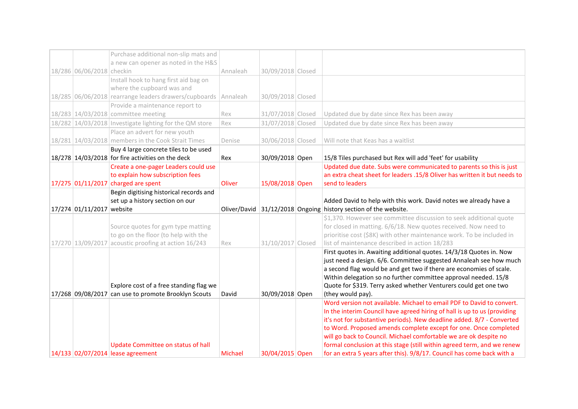|                           | Purchase additional non-slip mats and                                   |          |                   |                                                                                                                                                   |
|---------------------------|-------------------------------------------------------------------------|----------|-------------------|---------------------------------------------------------------------------------------------------------------------------------------------------|
|                           | a new can opener as noted in the H&S                                    |          |                   |                                                                                                                                                   |
| 18/286 06/06/2018 checkin |                                                                         | Annaleah | 30/09/2018 Closed |                                                                                                                                                   |
|                           | Install hook to hang first aid bag on                                   |          |                   |                                                                                                                                                   |
|                           | where the cupboard was and                                              |          |                   |                                                                                                                                                   |
|                           | 18/285 06/06/2018 rearrange leaders drawers/cupboards                   | Annaleah | 30/09/2018 Closed |                                                                                                                                                   |
|                           | Provide a maintenance report to                                         |          |                   |                                                                                                                                                   |
|                           | 18/283 14/03/2018 committee meeting                                     | Rex      | 31/07/2018 Closed | Updated due by date since Rex has been away                                                                                                       |
|                           | 18/282 14/03/2018 Investigate lighting for the QM store                 | Rex      | 31/07/2018 Closed | Updated due by date since Rex has been away                                                                                                       |
|                           | Place an advert for new youth                                           |          |                   |                                                                                                                                                   |
|                           | 18/281 14/03/2018 members in the Cook Strait Times                      | Denise   | 30/06/2018 Closed | Will note that Keas has a waitlist                                                                                                                |
|                           | Buy 4 large concrete tiles to be used                                   |          |                   |                                                                                                                                                   |
|                           | 18/278 14/03/2018 for fire activities on the deck                       | Rex      | 30/09/2018 Open   | 15/8 Tiles purchased but Rex will add 'feet' for usability                                                                                        |
|                           | Create a one-pager Leaders could use                                    |          |                   | Updated due date. Subs were communicated to parents so this is just                                                                               |
|                           | to explain how subscription fees                                        |          |                   | an extra cheat sheet for leaders .15/8 Oliver has written it but needs to                                                                         |
|                           | 17/275 01/11/2017 charged are spent                                     | Oliver   | 15/08/2018 Open   | send to leaders                                                                                                                                   |
|                           | Begin digitising historical records and                                 |          |                   |                                                                                                                                                   |
|                           | set up a history section on our                                         |          |                   | Added David to help with this work. David notes we already have a                                                                                 |
|                           |                                                                         |          |                   |                                                                                                                                                   |
| 17/274 01/11/2017 website |                                                                         |          |                   | Oliver/David 31/12/2018 Ongoing history section of the website.                                                                                   |
|                           |                                                                         |          |                   | \$1,370. However see committee discussion to seek additional quote                                                                                |
|                           | Source quotes for gym type matting                                      |          |                   | for closed in matting. 6/6/18. New quotes received. Now need to                                                                                   |
|                           | to go on the floor (to help with the                                    |          |                   | prioritise cost (\$8K) with other maintenance work. To be included in                                                                             |
|                           | 17/270 13/09/2017 acoustic proofing at action $16/243$                  | Rex      | 31/10/2017 Closed | list of maintenance described in action 18/283                                                                                                    |
|                           |                                                                         |          |                   | First quotes in. Awaiting additional quotes. 14/3/18 Quotes in. Now                                                                               |
|                           |                                                                         |          |                   | just need a design. 6/6. Committee suggested Annaleah see how much                                                                                |
|                           |                                                                         |          |                   | a second flag would be and get two if there are economies of scale.                                                                               |
|                           |                                                                         |          |                   | Within delegation so no further committee approval needed. 15/8                                                                                   |
|                           | Explore cost of a free standing flag we                                 |          |                   | Quote for \$319. Terry asked whether Venturers could get one two                                                                                  |
|                           | 17/268 09/08/2017 can use to promote Brooklyn Scouts                    | David    | 30/09/2018 Open   | (they would pay).                                                                                                                                 |
|                           |                                                                         |          |                   | Word version not available. Michael to email PDF to David to convert.                                                                             |
|                           |                                                                         |          |                   | In the interim Council have agreed hiring of hall is up to us (providing                                                                          |
|                           |                                                                         |          |                   | it's not for substantive periods). New deadline added. 8/7 - Converted                                                                            |
|                           |                                                                         |          |                   | to Word. Proposed amends complete except for one. Once completed                                                                                  |
|                           |                                                                         |          |                   | will go back to Council. Michael comfortable we are ok despite no                                                                                 |
|                           | Update Committee on status of hall<br>14/133 02/07/2014 lease agreement | Michael  | 30/04/2015 Open   | formal conclusion at this stage (still within agreed term, and we renew<br>for an extra 5 years after this). 9/8/17. Council has come back with a |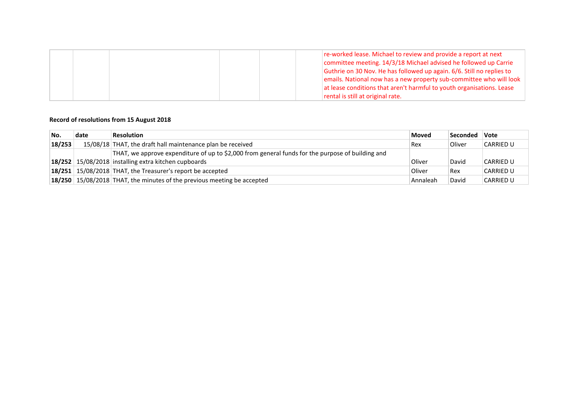|  |  | re-worked lease. Michael to review and provide a report at next       |
|--|--|-----------------------------------------------------------------------|
|  |  | committee meeting. 14/3/18 Michael advised he followed up Carrie      |
|  |  | Guthrie on 30 Nov. He has followed up again. 6/6. Still no replies to |
|  |  | emails. National now has a new property sub-committee who will look   |
|  |  | at lease conditions that aren't harmful to youth organisations. Lease |
|  |  | rental is still at original rate.                                     |

### **Record of resolutions from 15 August 2018**

| No.    | date | <b>Resolution</b>                                                                                | <b>Moved</b> | <b>Seconded</b> | Vote             |
|--------|------|--------------------------------------------------------------------------------------------------|--------------|-----------------|------------------|
| 18/253 |      | 15/08/18 THAT, the draft hall maintenance plan be received                                       | Rex          | Oliver          | <b>CARRIED U</b> |
|        |      | THAT, we approve expenditure of up to \$2,000 from general funds for the purpose of building and |              |                 |                  |
|        |      | $18/252$   15/08/2018 installing extra kitchen cupboards                                         | Oliver       | David           | <b>CARRIED U</b> |
|        |      | $18/251$ 15/08/2018 THAT, the Treasurer's report be accepted                                     | Oliver       | Rex             | <b>CARRIED U</b> |
|        |      | 18/250 15/08/2018 THAT, the minutes of the previous meeting be accepted                          | Annaleah     | David           | <b>CARRIED U</b> |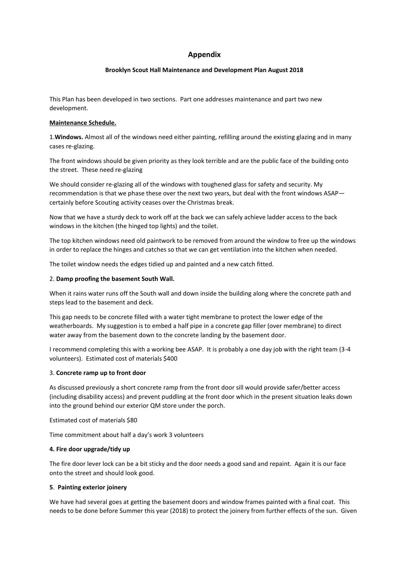### **Appendix**

### **Brooklyn Scout Hall Maintenance and Development Plan August 2018**

This Plan has been developed in two sections. Part one addresses maintenance and part two new development.

#### **Maintenance Schedule.**

1.**Windows.** Almost all of the windows need either painting, refilling around the existing glazing and in many cases re-glazing.

The front windows should be given priority as they look terrible and are the public face of the building onto the street. These need re-glazing

We should consider re-glazing all of the windows with toughened glass for safety and security. My recommendation is that we phase these over the next two years, but deal with the front windows ASAP certainly before Scouting activity ceases over the Christmas break.

Now that we have a sturdy deck to work off at the back we can safely achieve ladder access to the back windows in the kitchen (the hinged top lights) and the toilet.

The top kitchen windows need old paintwork to be removed from around the window to free up the windows in order to replace the hinges and catches so that we can get ventilation into the kitchen when needed.

The toilet window needs the edges tidied up and painted and a new catch fitted.

#### 2. **Damp proofing the basement South Wall.**

When it rains water runs off the South wall and down inside the building along where the concrete path and steps lead to the basement and deck.

This gap needs to be concrete filled with a water tight membrane to protect the lower edge of the weatherboards. My suggestion is to embed a half pipe in a concrete gap filler (over membrane) to direct water away from the basement down to the concrete landing by the basement door.

I recommend completing this with a working bee ASAP. It is probably a one day job with the right team (3-4 volunteers). Estimated cost of materials \$400

#### 3. **Concrete ramp up to front door**

As discussed previously a short concrete ramp from the front door sill would provide safer/better access (including disability access) and prevent puddling at the front door which in the present situation leaks down into the ground behind our exterior QM store under the porch.

Estimated cost of materials \$80

Time commitment about half a day's work 3 volunteers

### **4. Fire door upgrade/tidy up**

The fire door lever lock can be a bit sticky and the door needs a good sand and repaint. Again it is our face onto the street and should look good.

#### **5**. **Painting exterior joinery**

We have had several goes at getting the basement doors and window frames painted with a final coat. This needs to be done before Summer this year (2018) to protect the joinery from further effects of the sun. Given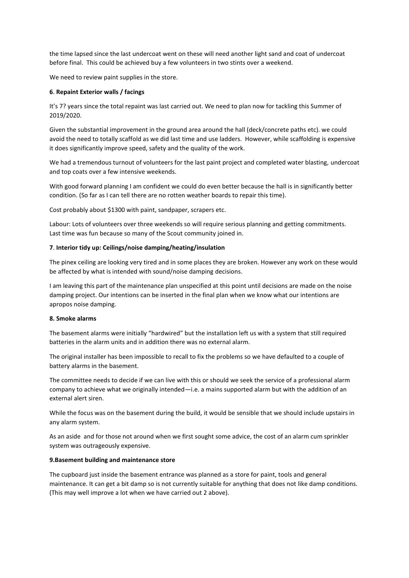the time lapsed since the last undercoat went on these will need another light sand and coat of undercoat before final. This could be achieved buy a few volunteers in two stints over a weekend.

We need to review paint supplies in the store.

#### **6**. **Repaint Exterior walls / facings**

It's 7? years since the total repaint was last carried out. We need to plan now for tackling this Summer of 2019/2020.

Given the substantial improvement in the ground area around the hall (deck/concrete paths etc). we could avoid the need to totally scaffold as we did last time and use ladders. However, while scaffolding is expensive it does significantly improve speed, safety and the quality of the work.

We had a tremendous turnout of volunteers for the last paint project and completed water blasting, undercoat and top coats over a few intensive weekends.

With good forward planning I am confident we could do even better because the hall is in significantly better condition. (So far as I can tell there are no rotten weather boards to repair this time).

Cost probably about \$1300 with paint, sandpaper, scrapers etc.

Labour: Lots of volunteers over three weekends so will require serious planning and getting commitments. Last time was fun because so many of the Scout community joined in.

#### **7**. **Interior tidy up: Ceilings/noise damping/heating/insulation**

The pinex ceiling are looking very tired and in some places they are broken. However any work on these would be affected by what is intended with sound/noise damping decisions.

I am leaving this part of the maintenance plan unspecified at this point until decisions are made on the noise damping project. Our intentions can be inserted in the final plan when we know what our intentions are apropos noise damping.

#### **8. Smoke alarms**

The basement alarms were initially "hardwired" but the installation left us with a system that still required batteries in the alarm units and in addition there was no external alarm.

The original installer has been impossible to recall to fix the problems so we have defaulted to a couple of battery alarms in the basement.

The committee needs to decide if we can live with this or should we seek the service of a professional alarm company to achieve what we originally intended—i.e. a mains supported alarm but with the addition of an external alert siren.

While the focus was on the basement during the build, it would be sensible that we should include upstairs in any alarm system.

As an aside and for those not around when we first sought some advice, the cost of an alarm cum sprinkler system was outrageously expensive.

#### **9.Basement building and maintenance store**

The cupboard just inside the basement entrance was planned as a store for paint, tools and general maintenance. It can get a bit damp so is not currently suitable for anything that does not like damp conditions. (This may well improve a lot when we have carried out 2 above).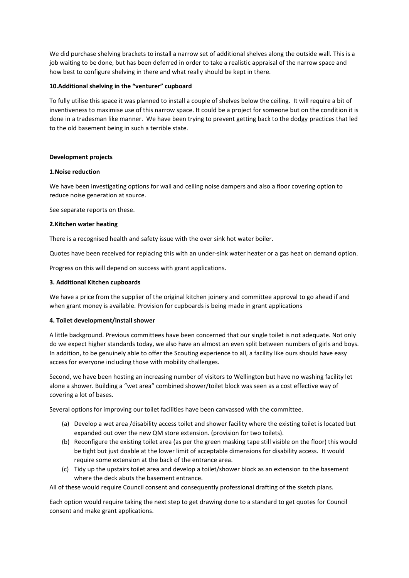We did purchase shelving brackets to install a narrow set of additional shelves along the outside wall. This is a job waiting to be done, but has been deferred in order to take a realistic appraisal of the narrow space and how best to configure shelving in there and what really should be kept in there.

#### **10.Additional shelving in the "venturer" cupboard**

To fully utilise this space it was planned to install a couple of shelves below the ceiling. It will require a bit of inventiveness to maximise use of this narrow space. It could be a project for someone but on the condition it is done in a tradesman like manner. We have been trying to prevent getting back to the dodgy practices that led to the old basement being in such a terrible state.

#### **Development projects**

#### **1.Noise reduction**

We have been investigating options for wall and ceiling noise dampers and also a floor covering option to reduce noise generation at source.

See separate reports on these.

#### **2.Kitchen water heating**

There is a recognised health and safety issue with the over sink hot water boiler.

Quotes have been received for replacing this with an under-sink water heater or a gas heat on demand option.

Progress on this will depend on success with grant applications.

#### **3. Additional Kitchen cupboards**

We have a price from the supplier of the original kitchen joinery and committee approval to go ahead if and when grant money is available. Provision for cupboards is being made in grant applications

### **4. Toilet development/install shower**

A little background. Previous committees have been concerned that our single toilet is not adequate. Not only do we expect higher standards today, we also have an almost an even split between numbers of girls and boys. In addition, to be genuinely able to offer the Scouting experience to all, a facility like ours should have easy access for everyone including those with mobility challenges.

Second, we have been hosting an increasing number of visitors to Wellington but have no washing facility let alone a shower. Building a "wet area" combined shower/toilet block was seen as a cost effective way of covering a lot of bases.

Several options for improving our toilet facilities have been canvassed with the committee.

- (a) Develop a wet area /disability access toilet and shower facility where the existing toilet is located but expanded out over the new QM store extension. (provision for two toilets).
- (b) Reconfigure the existing toilet area (as per the green masking tape still visible on the floor) this would be tight but just doable at the lower limit of acceptable dimensions for disability access. It would require some extension at the back of the entrance area.
- (c) Tidy up the upstairs toilet area and develop a toilet/shower block as an extension to the basement where the deck abuts the basement entrance.

All of these would require Council consent and consequently professional drafting of the sketch plans.

Each option would require taking the next step to get drawing done to a standard to get quotes for Council consent and make grant applications.